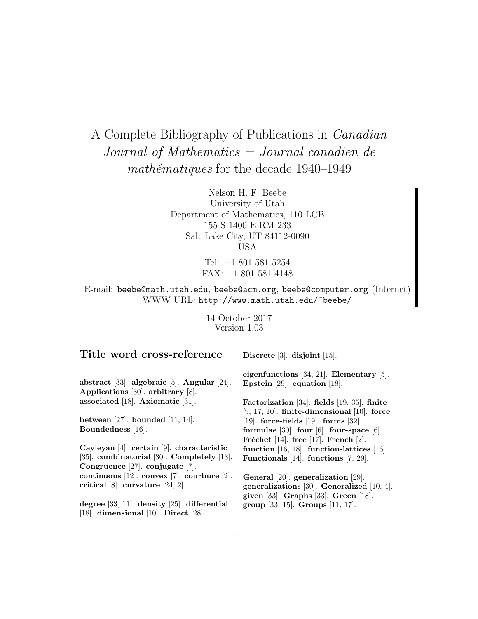# A Complete Bibliography of Publications in Canadian Journal of Mathematics = Journal canadien de  $mathématiques$  for the decade  $1940-1949$

Nelson H. F. Beebe University of Utah Department of Mathematics, 110 LCB 155 S 1400 E RM 233 Salt Lake City, UT 84112-0090 USA

> Tel: +1 801 581 5254 FAX: +1 801 581 4148

E-mail: beebe@math.utah.edu, beebe@acm.org, beebe@computer.org (Internet) WWW URL: http://www.math.utah.edu/~beebe/

> 14 October 2017 Version 1.03

# **Title word cross-reference**

**Discrete** [3]. **disjoint** [15].

**abstract** [33]. **algebraic** [5]. **Angular** [24]. **Applications** [30]. **arbitrary** [8]. **associated** [18]. **Axiomatic** [31].

**between** [27]. **bounded** [11, 14]. **Boundedness** [16].

**Cayleyan** [4]. **certain** [9]. **characteristic** [35]. **combinatorial** [30]. **Completely** [13]. **Congruence** [27]. **conjugate** [7]. **continuous** [12]. **convex** [7]. **courbure** [2]. **critical** [8]. **curvature** [24, 2].

**degree** [33, 11]. **density** [25]. **differential** [18]. **dimensional** [10]. **Direct** [28].

**eigenfunctions** [34, 21]. **Elementary** [5]. **Epstein** [29]. **equation** [18].

**Factorization** [34]. **fields** [19, 35]. **finite** [9, 17, 10]. **finite-dimensional** [10]. **force** [19]. **force-fields** [19]. **forms** [32]. **formulae** [30]. **four** [6]. **four-space** [6]. **Fréchet** [14]. **free** [17]. **French** [2]. **function** [16, 18]. **function-lattices** [16]. **Functionals** [14]. **functions** [7, 29].

**General** [20]. **generalization** [29]. **generalizations** [30]. **Generalized** [10, 4]. **given** [33]. **Graphs** [33]. **Green** [18]. **group** [33, 15]. **Groups** [11, 17].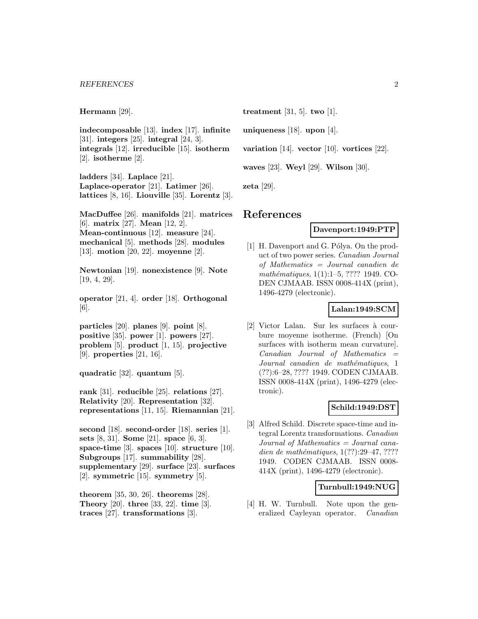**Hermann** [29].

**indecomposable** [13]. **index** [17]. **infinite** [31]. **integers** [25]. **integral** [24, 3]. **integrals** [12]. **irreducible** [15]. **isotherm** [2]. **isotherme** [2].

**ladders** [34]. **Laplace** [21]. **Laplace-operator** [21]. **Latimer** [26]. **lattices** [8, 16]. **Liouville** [35]. **Lorentz** [3].

**MacDuffee** [26]. **manifolds** [21]. **matrices** [6]. **matrix** [27]. **Mean** [12, 2]. **Mean-continuous** [12]. **measure** [24]. **mechanical** [5]. **methods** [28]. **modules** [13]. **motion** [20, 22]. **moyenne** [2].

**Newtonian** [19]. **nonexistence** [9]. **Note** [19, 4, 29].

**operator** [21, 4]. **order** [18]. **Orthogonal** [6].

**particles** [20]. **planes** [9]. **point** [8]. **positive** [35]. **power** [1]. **powers** [27]. **problem** [5]. **product** [1, 15]. **projective** [9]. **properties** [21, 16].

**quadratic** [32]. **quantum** [5].

**rank** [31]. **reducible** [25]. **relations** [27]. **Relativity** [20]. **Representation** [32]. **representations** [11, 15]. **Riemannian** [21].

**second** [18]. **second-order** [18]. **series** [1]. **sets** [8, 31]. **Some** [21]. **space** [6, 3]. **space-time** [3]. **spaces** [10]. **structure** [10]. **Subgroups** [17]. **summability** [28]. **supplementary** [29]. **surface** [23]. **surfaces** [2]. **symmetric** [15]. **symmetry** [5].

**theorem** [35, 30, 26]. **theorems** [28]. **Theory** [20]. **three** [33, 22]. **time** [3]. **traces** [27]. **transformations** [3].

**treatment** [31, 5]. **two** [1].

**uniqueness** [18]. **upon** [4].

**variation** [14]. **vector** [10]. **vortices** [22].

**waves** [23]. **Weyl** [29]. **Wilson** [30].

**zeta** [29].

# **References**

#### **Davenport:1949:PTP**

[1] H. Davenport and G. Pólya. On the product of two power series. Canadian Journal of Mathematics = Journal canadien de mathématiques, 1(1):1–5, ???? 1949. CO-DEN CJMAAB. ISSN 0008-414X (print), 1496-4279 (electronic).

#### **Lalan:1949:SCM**

[2] Victor Lalan. Sur les surfaces à courbure moyenne isotherme. (French) [On surfaces with isotherm mean curvature].  $Canadian$  Journal of Mathematics  $=$ Journal canadien de mathématiques, 1 (??):6–28, ???? 1949. CODEN CJMAAB. ISSN 0008-414X (print), 1496-4279 (electronic).

## **Schild:1949:DST**

[3] Alfred Schild. Discrete space-time and integral Lorentz transformations. Canadian Journal of Mathematics = Journal canadien de mathématiques,  $1(??):29-47, ????$ 1949. CODEN CJMAAB. ISSN 0008- 414X (print), 1496-4279 (electronic).

#### **Turnbull:1949:NUG**

[4] H. W. Turnbull. Note upon the generalized Cayleyan operator. Canadian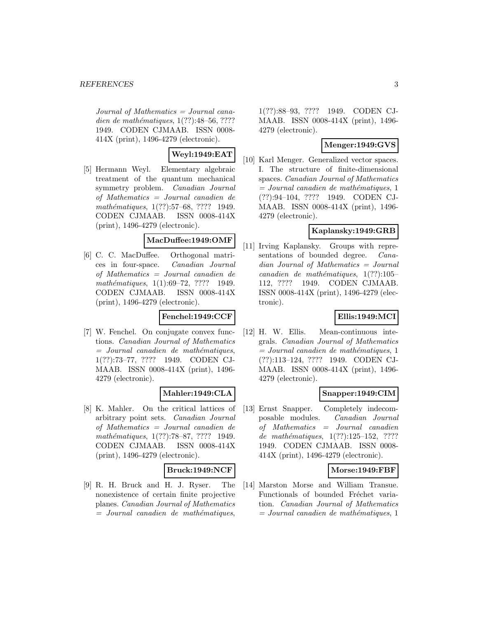Journal of Mathematics = Journal canadien de mathématiques,  $1(??):48–56, ????$ 1949. CODEN CJMAAB. ISSN 0008- 414X (print), 1496-4279 (electronic).

# **Weyl:1949:EAT**

[5] Hermann Weyl. Elementary algebraic treatment of the quantum mechanical symmetry problem. Canadian Journal of Mathematics = Journal canadien de mathématiques, 1(??):57–68, ???? 1949. CODEN CJMAAB. ISSN 0008-414X (print), 1496-4279 (electronic).

## **MacDuffee:1949:OMF**

[6] C. C. MacDuffee. Orthogonal matrices in four-space. Canadian Journal of Mathematics = Journal canadien de mathématiques, 1(1):69-72, ???? 1949. CODEN CJMAAB. ISSN 0008-414X (print), 1496-4279 (electronic).

## **Fenchel:1949:CCF**

[7] W. Fenchel. On conjugate convex functions. Canadian Journal of Mathematics  $=$  Journal canadien de mathématiques, 1(??):73–77, ???? 1949. CODEN CJ-MAAB. ISSN 0008-414X (print), 1496- 4279 (electronic).

# **Mahler:1949:CLA**

[8] K. Mahler. On the critical lattices of arbitrary point sets. Canadian Journal of Mathematics = Journal canadien de mathématiques, 1(??):78–87, ???? 1949. CODEN CJMAAB. ISSN 0008-414X (print), 1496-4279 (electronic).

## **Bruck:1949:NCF**

[9] R. H. Bruck and H. J. Ryser. The nonexistence of certain finite projective planes. Canadian Journal of Mathematics  $=$  Journal canadien de mathématiques,

1(??):88–93, ???? 1949. CODEN CJ-MAAB. ISSN 0008-414X (print), 1496- 4279 (electronic).

## **Menger:1949:GVS**

[10] Karl Menger. Generalized vector spaces. I. The structure of finite-dimensional spaces. Canadian Journal of Mathematics  $= Journal\; can a dien\; de\; mathématiques, 1$ (??):94–104, ???? 1949. CODEN CJ-MAAB. ISSN 0008-414X (print), 1496- 4279 (electronic).

# **Kaplansky:1949:GRB**

[11] Irving Kaplansky. Groups with representations of bounded degree. Canadian Journal of Mathematics = Journal canadien de mathématiques,  $1(??):105-$ 112, ???? 1949. CODEN CJMAAB. ISSN 0008-414X (print), 1496-4279 (electronic).

# **Ellis:1949:MCI**

[12] H. W. Ellis. Mean-continuous integrals. Canadian Journal of Mathematics  $= Journal\; candidates, 1$ (??):113–124, ???? 1949. CODEN CJ-MAAB. ISSN 0008-414X (print), 1496- 4279 (electronic).

# **Snapper:1949:CIM**

[13] Ernst Snapper. Completely indecomposable modules. Canadian Journal of Mathematics = Journal canadien de mathématiques,  $1(??):125-152$ , ???? 1949. CODEN CJMAAB. ISSN 0008- 414X (print), 1496-4279 (electronic).

## **Morse:1949:FBF**

[14] Marston Morse and William Transue. Functionals of bounded Fréchet variation. Canadian Journal of Mathematics  $= Journal\; can a dien\; de\; mathématiques, 1$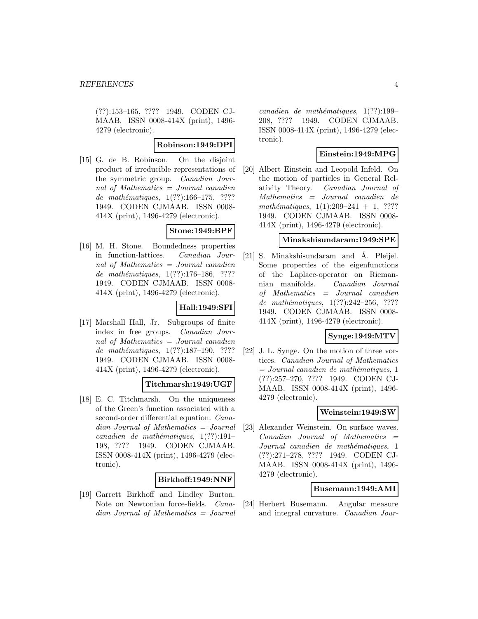(??):153–165, ???? 1949. CODEN CJ-MAAB. ISSN 0008-414X (print), 1496- 4279 (electronic).

#### **Robinson:1949:DPI**

[15] G. de B. Robinson. On the disjoint product of irreducible representations of the symmetric group. Canadian Journal of Mathematics = Journal canadien de mathématiques,  $1(??):166-175$ , ???? 1949. CODEN CJMAAB. ISSN 0008- 414X (print), 1496-4279 (electronic).

#### **Stone:1949:BPF**

[16] M. H. Stone. Boundedness properties in function-lattices. Canadian Journal of Mathematics = Journal canadien de mathématiques,  $1(??):176-186$ , ???? 1949. CODEN CJMAAB. ISSN 0008- 414X (print), 1496-4279 (electronic).

# **Hall:1949:SFI**

[17] Marshall Hall, Jr. Subgroups of finite index in free groups. Canadian Journal of Mathematics = Journal canadien de mathématiques,  $1(??):187-190, ????$ 1949. CODEN CJMAAB. ISSN 0008- 414X (print), 1496-4279 (electronic).

## **Titchmarsh:1949:UGF**

[18] E. C. Titchmarsh. On the uniqueness of the Green's function associated with a second-order differential equation. Canadian Journal of Mathematics = Journal canadien de mathématiques,  $1(??):191-$ 198, ???? 1949. CODEN CJMAAB. ISSN 0008-414X (print), 1496-4279 (electronic).

## **Birkhoff:1949:NNF**

[19] Garrett Birkhoff and Lindley Burton. Note on Newtonian force-fields. Canadian Journal of Mathematics = Journal

 $cana dien de mathématiques, 1(??):199-$ 208, ???? 1949. CODEN CJMAAB. ISSN 0008-414X (print), 1496-4279 (electronic).

## **Einstein:1949:MPG**

[20] Albert Einstein and Leopold Infeld. On the motion of particles in General Relativity Theory. Canadian Journal of Mathematics = Journal canadien de mathématiques,  $1(1):209-241 + 1$ , ???? 1949. CODEN CJMAAB. ISSN 0008- 414X (print), 1496-4279 (electronic).

#### **Minakshisundaram:1949:SPE**

[21] S. Minakshisundaram and Å. Pleijel. Some properties of the eigenfunctions of the Laplace-operator on Riemannian manifolds. Canadian Journal of Mathematics = Journal canadien de mathématiques,  $1(??):242-256$ , ???? 1949. CODEN CJMAAB. ISSN 0008- 414X (print), 1496-4279 (electronic).

#### **Synge:1949:MTV**

[22] J. L. Synge. On the motion of three vortices. Canadian Journal of Mathematics  $= Journal\; can a dien\; de\; mathématiques, 1$ (??):257–270, ???? 1949. CODEN CJ-MAAB. ISSN 0008-414X (print), 1496- 4279 (electronic).

#### **Weinstein:1949:SW**

[23] Alexander Weinstein. On surface waves.  $Canadian$  Journal of Mathematics  $=$ Journal canadien de mathématiques, 1 (??):271–278, ???? 1949. CODEN CJ-MAAB. ISSN 0008-414X (print), 1496- 4279 (electronic).

#### **Busemann:1949:AMI**

[24] Herbert Busemann. Angular measure and integral curvature. Canadian Jour-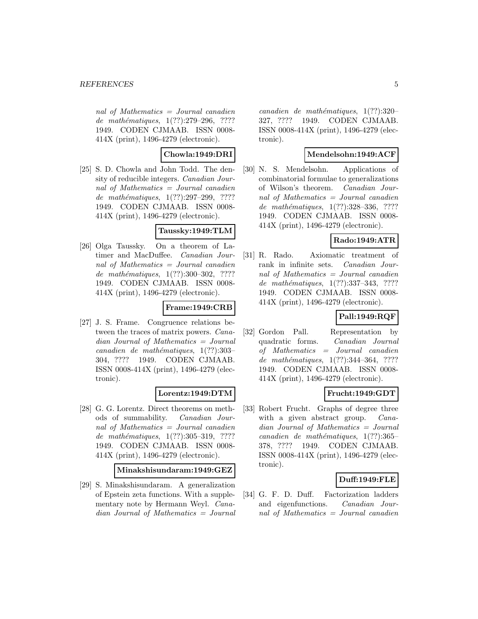nal of Mathematics = Journal canadien de mathématiques, 1(??):279-296, ???? 1949. CODEN CJMAAB. ISSN 0008- 414X (print), 1496-4279 (electronic).

## **Chowla:1949:DRI**

[25] S. D. Chowla and John Todd. The density of reducible integers. Canadian Journal of Mathematics = Journal canadien de mathématiques, 1(??):297-299, ???? 1949. CODEN CJMAAB. ISSN 0008- 414X (print), 1496-4279 (electronic).

#### **Taussky:1949:TLM**

[26] Olga Taussky. On a theorem of Latimer and MacDuffee. Canadian Journal of Mathematics = Journal canadien de mathématiques,  $1(??):300-302$ , ???? 1949. CODEN CJMAAB. ISSN 0008- 414X (print), 1496-4279 (electronic).

## **Frame:1949:CRB**

[27] J. S. Frame. Congruence relations between the traces of matrix powers. Canadian Journal of Mathematics = Journal canadien de mathématiques,  $1(??):303-$ 304, ???? 1949. CODEN CJMAAB. ISSN 0008-414X (print), 1496-4279 (electronic).

## **Lorentz:1949:DTM**

[28] G. G. Lorentz. Direct theorems on methods of summability. Canadian Journal of Mathematics = Journal canadien de mathématiques,  $1(??):305-319$ , ???? 1949. CODEN CJMAAB. ISSN 0008- 414X (print), 1496-4279 (electronic).

#### **Minakshisundaram:1949:GEZ**

[29] S. Minakshisundaram. A generalization of Epstein zeta functions. With a supplementary note by Hermann Weyl. Canadian Journal of Mathematics = Journal canadien de mathématiques,  $1(??):320-$ 327, ???? 1949. CODEN CJMAAB. ISSN 0008-414X (print), 1496-4279 (electronic).

## **Mendelsohn:1949:ACF**

[30] N. S. Mendelsohn. Applications of combinatorial formulae to generalizations of Wilson's theorem. Canadian Journal of Mathematics = Journal canadien de mathématiques, 1(??):328-336, ???? 1949. CODEN CJMAAB. ISSN 0008- 414X (print), 1496-4279 (electronic).

# **Rado:1949:ATR**

[31] R. Rado. Axiomatic treatment of rank in infinite sets. Canadian Journal of Mathematics = Journal canadien de mathématiques, 1(??):337-343, ???? 1949. CODEN CJMAAB. ISSN 0008- 414X (print), 1496-4279 (electronic).

# **Pall:1949:RQF**

[32] Gordon Pall. Representation by quadratic forms. Canadian Journal of Mathematics = Journal canadien de mathématiques, 1(??):344-364, ???? 1949. CODEN CJMAAB. ISSN 0008- 414X (print), 1496-4279 (electronic).

## **Frucht:1949:GDT**

[33] Robert Frucht. Graphs of degree three with a given abstract group. *Cana*dian Journal of Mathematics = Journal canadien de mathématiques,  $1(??):365-$ 378, ???? 1949. CODEN CJMAAB. ISSN 0008-414X (print), 1496-4279 (electronic).

## **Duff:1949:FLE**

[34] G. F. D. Duff. Factorization ladders and eigenfunctions. Canadian Journal of Mathematics = Journal canadien